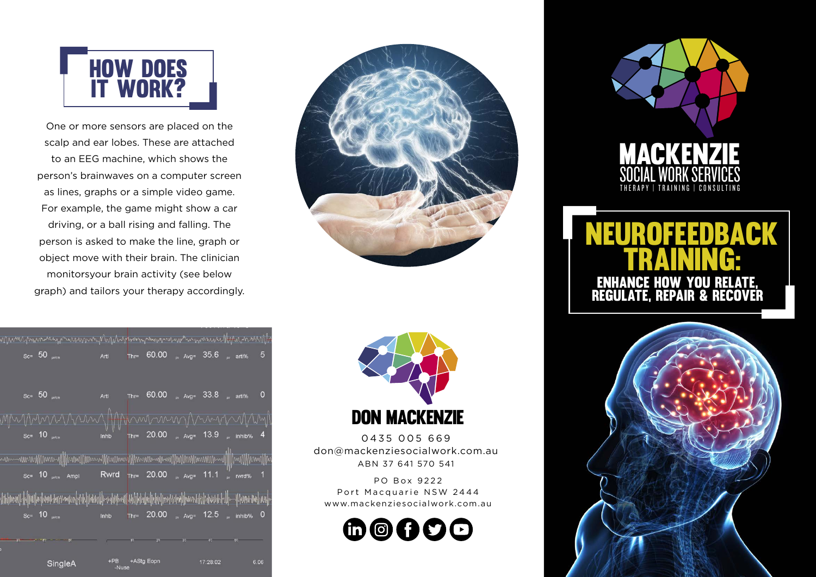

One or more sensors are placed on the scalp and ear lobes. These are attached to an EEG machine, which shows the person's brainwaves on a computer screen as lines, graphs or a simple video game. For example, the game might show a car driving, or a ball rising and falling. The person is asked to make the line, graph or object move with their brain. The clinician monitorsyour brain activity (see below graph) and tailors your therapy accordingly.

| $s_c = 50$        |                                                                                                              | Artl | $Thr =$ | 60.00 | $M_{\text{av}}$ Avg= 35.6               |      | arti%  | 5           |
|-------------------|--------------------------------------------------------------------------------------------------------------|------|---------|-------|-----------------------------------------|------|--------|-------------|
|                   |                                                                                                              |      |         |       |                                         |      |        |             |
| $_{Sc} = 50$ when | <b>Arti</b>                                                                                                  |      | $Thr =$ | 60.00 | $M_{\text{av}}$ Avg= 33.8               |      | arti%  | $\mathbf 0$ |
|                   | Mummunnung/Mummunnnunnun                                                                                     |      |         |       |                                         |      |        |             |
| $s = 10$ when     |                                                                                                              | Inhb | $Thr=$  |       | $20.00$ $_{\text{IV}}$ Avg= 13.9        |      | inhib% | 4           |
|                   |                                                                                                              |      |         |       |                                         |      |        |             |
|                   | $\text{Sc} = 10$ $_{\text{pv/cm}}$ Ampl                                                                      | Rwrd | $Thr =$ | 20.00 | $uv$ Avg=                               | 11.1 | rwrd%  |             |
|                   | tdaemik klimile temeteri ene en kalietadik edupeni udiklabdeljelu liretovalikee didistuut klik. Noma vakeak- |      |         |       |                                         |      |        |             |
| $Sc = 10$ pv/cm   |                                                                                                              | Inhb |         |       | Thr= 20.00 $\mu$ Avg= 12.5 $\mu$ inhib% |      |        | $\mathbf 0$ |
|                   |                                                                                                              |      |         |       |                                         |      |        |             |

+AStg Eopn

SingleA

17:28:02

6.06





0435 005 669 don@mackenziesocialwork.com.au ABN 37 641 570 541

PO Box 9222 Port Macquarie NSW 2444 www.mackenziesocialwork.com.au





## BACK TRAINING: **ENHANCE HOW YOU** regulate, repair & recover